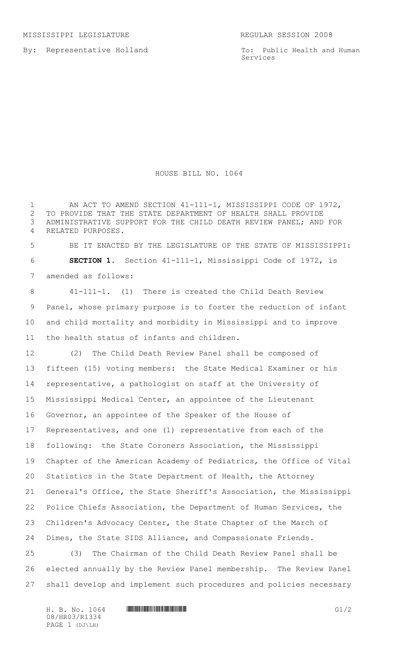By: Representative Holland

To: Public Health and Human Services

## HOUSE BILL NO. 1064

1 AN ACT TO AMEND SECTION 41-111-1, MISSISSIPPI CODE OF 1972, TO PROVIDE THAT THE STATE DEPARTMENT OF HEALTH SHALL PROVIDE ADMINISTRATIVE SUPPORT FOR THE CHILD DEATH REVIEW PANEL; AND FOR RELATED PURPOSES.

 BE IT ENACTED BY THE LEGISLATURE OF THE STATE OF MISSISSIPPI: **SECTION 1.** Section 41-111-1, Mississippi Code of 1972, is amended as follows:

 41-111-1. (1) There is created the Child Death Review Panel, whose primary purpose is to foster the reduction of infant and child mortality and morbidity in Mississippi and to improve the health status of infants and children.

 (2) The Child Death Review Panel shall be composed of fifteen (15) voting members: the State Medical Examiner or his representative, a pathologist on staff at the University of Mississippi Medical Center, an appointee of the Lieutenant Governor, an appointee of the Speaker of the House of Representatives, and one (1) representative from each of the following: the State Coroners Association, the Mississippi Chapter of the American Academy of Pediatrics, the Office of Vital Statistics in the State Department of Health, the Attorney General's Office, the State Sheriff's Association, the Mississippi Police Chiefs Association, the Department of Human Services, the Children's Advocacy Center, the State Chapter of the March of Dimes, the State SIDS Alliance, and Compassionate Friends.

 (3) The Chairman of the Child Death Review Panel shall be elected annually by the Review Panel membership. The Review Panel shall develop and implement such procedures and policies necessary

08/HR03/R1334 PAGE 1 (DJ\LH)

H. B. No. 1064 HHRO3/R1334 G1/2